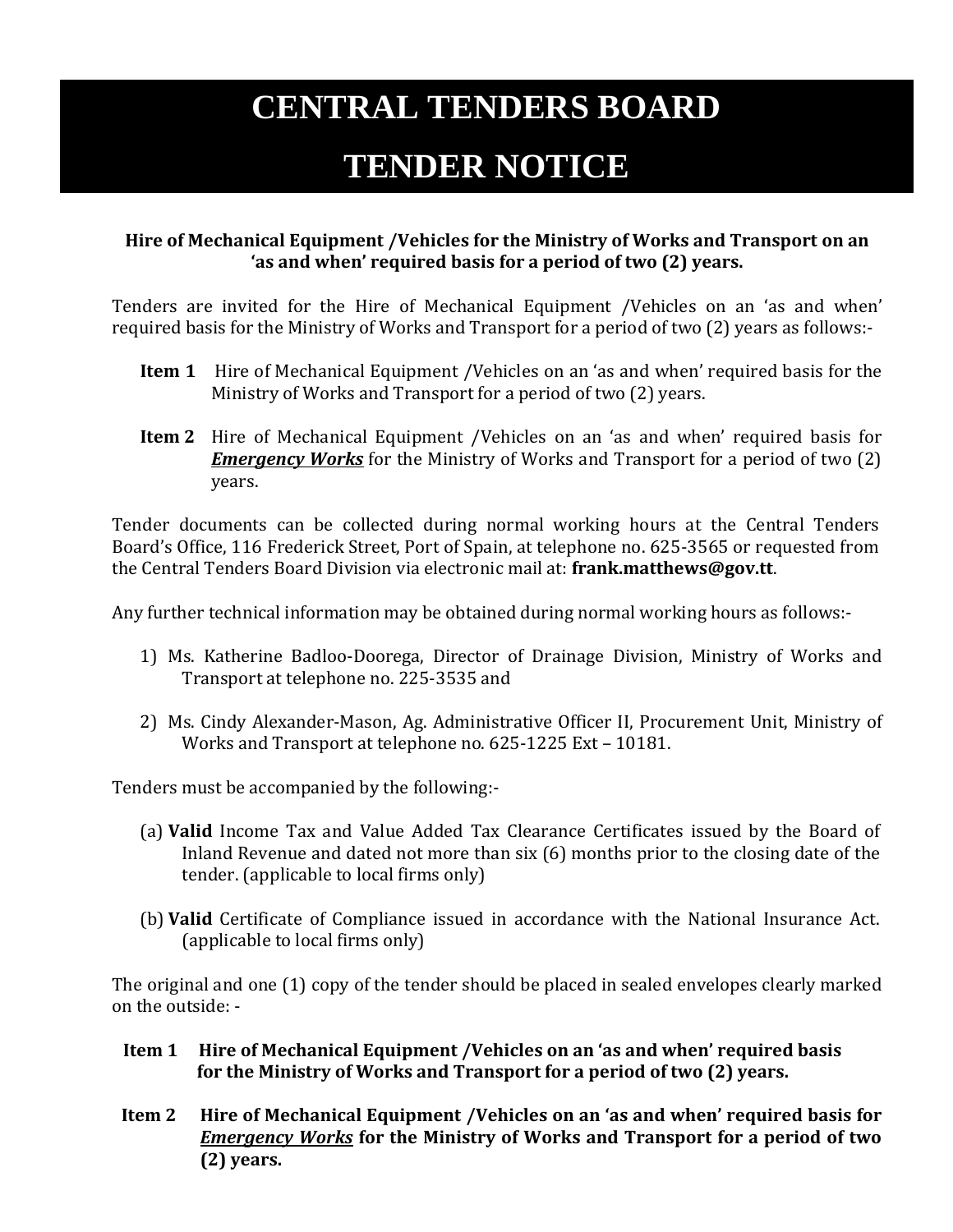## **CENTRAL TENDERS BOARD**

## **TENDER NOTICE**

## **Hire of Mechanical Equipment /Vehicles for the Ministry of Works and Transport on an 'as and when' required basis for a period of two (2) years.**

Tenders are invited for the Hire of Mechanical Equipment /Vehicles on an 'as and when' required basis for the Ministry of Works and Transport for a period of two (2) years as follows:-

- **Item 1** Hire of Mechanical Equipment /Vehicles on an 'as and when' required basis for the Ministry of Works and Transport for a period of two (2) years.
- **Item 2** Hire of Mechanical Equipment /Vehicles on an 'as and when' required basis for *Emergency Works* for the Ministry of Works and Transport for a period of two (2) years.

Tender documents can be collected during normal working hours at the Central Tenders Board's Office, 116 Frederick Street, Port of Spain, at telephone no. 625-3565 or requested from the Central Tenders Board Division via electronic mail at: **frank.matthews@gov.tt**.

Any further technical information may be obtained during normal working hours as follows:-

- 1) Ms. Katherine Badloo-Doorega, Director of Drainage Division, Ministry of Works and Transport at telephone no. 225-3535 and
- 2) Ms. Cindy Alexander-Mason, Ag. Administrative Officer II, Procurement Unit, Ministry of Works and Transport at telephone no. 625-1225 Ext – 10181.

Tenders must be accompanied by the following:-

- (a) **Valid** Income Tax and Value Added Tax Clearance Certificates issued by the Board of Inland Revenue and dated not more than six (6) months prior to the closing date of the tender. (applicable to local firms only)
- (b) **Valid** Certificate of Compliance issued in accordance with the National Insurance Act. (applicable to local firms only)

The original and one (1) copy of the tender should be placed in sealed envelopes clearly marked on the outside: -

- **Item 1 Hire of Mechanical Equipment /Vehicles on an 'as and when' required basis for the Ministry of Works and Transport for a period of two (2) years.**
- **Item 2 Hire of Mechanical Equipment /Vehicles on an 'as and when' required basis for**  *Emergency Works* **for the Ministry of Works and Transport for a period of two (2) years.**